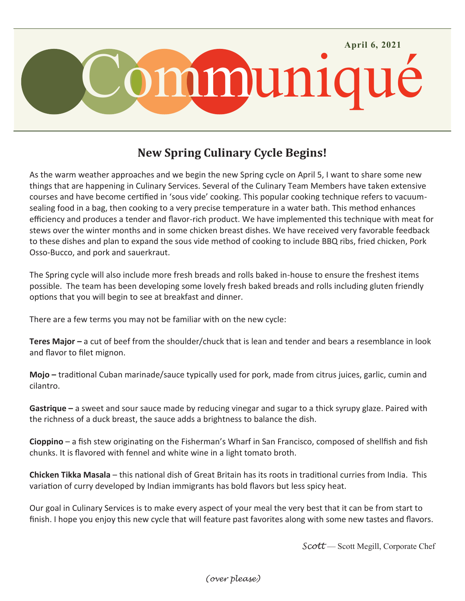

## **New Spring Culinary Cycle Begins!**

As the warm weather approaches and we begin the new Spring cycle on April 5, I want to share some new things that are happening in Culinary Services. Several of the Culinary Team Members have taken extensive courses and have become certified in 'sous vide' cooking. This popular cooking technique refers to vacuumsealing food in a bag, then cooking to a very precise temperature in a water bath. This method enhances efficiency and produces a tender and flavor-rich product. We have implemented this technique with meat for stews over the winter months and in some chicken breast dishes. We have received very favorable feedback to these dishes and plan to expand the sous vide method of cooking to include BBQ ribs, fried chicken, Pork Osso-Bucco, and pork and sauerkraut.

The Spring cycle will also include more fresh breads and rolls baked in-house to ensure the freshest items possible. The team has been developing some lovely fresh baked breads and rolls including gluten friendly options that you will begin to see at breakfast and dinner.

There are a few terms you may not be familiar with on the new cycle:

**Teres Major –** a cut of beef from the shoulder/chuck that is lean and tender and bears a resemblance in look and flavor to filet mignon.

**Mojo –** traditional Cuban marinade/sauce typically used for pork, made from citrus juices, garlic, cumin and cilantro.

**Gastrique –** a sweet and sour sauce made by reducing vinegar and sugar to a thick syrupy glaze. Paired with the richness of a duck breast, the sauce adds a brightness to balance the dish.

**Cioppino** – a fish stew originating on the Fisherman's Wharf in San Francisco, composed of shellfish and fish chunks. It is flavored with fennel and white wine in a light tomato broth.

**Chicken Tikka Masala** – this national dish of Great Britain has its roots in traditional curries from India. This variation of curry developed by Indian immigrants has bold flavors but less spicy heat.

Our goal in Culinary Services is to make every aspect of your meal the very best that it can be from start to finish. I hope you enjoy this new cycle that will feature past favorites along with some new tastes and flavors.

*Scott* — Scott Megill, Corporate Chef